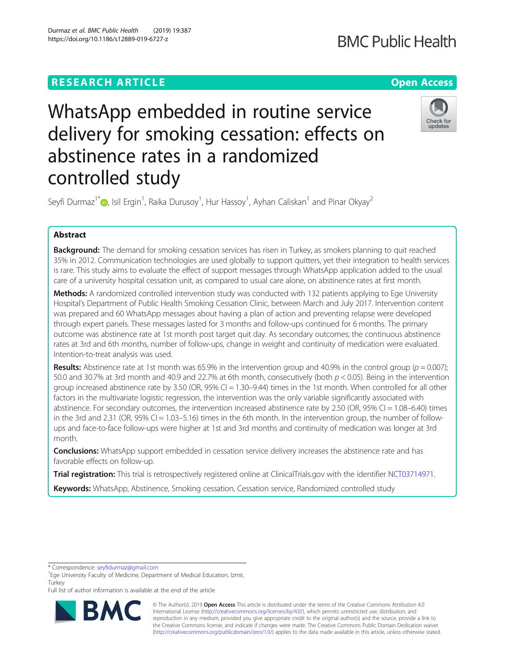## **RESEARCH ARTICLE Example 2014 12:30 The Contract of Contract ACCESS**

# WhatsApp embedded in routine service delivery for smoking cessation: effects on abstinence rates in a randomized controlled study

Seyfi Durmaz $^{\text{1*}}$  $^{\text{1*}}$  $^{\text{1*}}$  , Isil Ergin $^{\text{1}}$ , Raika Durusoy $^{\text{1}}$ , Hur Hassoy $^{\text{1}}$ , Ayhan Caliskan $^{\text{1}}$  and Pinar Okyay $^{\text{2}}$ 

## Abstract

Background: The demand for smoking cessation services has risen in Turkey, as smokers planning to quit reached 35% in 2012. Communication technologies are used globally to support quitters, yet their integration to health services is rare. This study aims to evaluate the effect of support messages through WhatsApp application added to the usual care of a university hospital cessation unit, as compared to usual care alone, on abstinence rates at first month.

Methods: A randomized controlled intervention study was conducted with 132 patients applying to Ege University Hospital's Department of Public Health Smoking Cessation Clinic, between March and July 2017. Intervention content was prepared and 60 WhatsApp messages about having a plan of action and preventing relapse were developed through expert panels. These messages lasted for 3 months and follow-ups continued for 6 months. The primary outcome was abstinence rate at 1st month post target quit day. As secondary outcomes; the continuous abstinence rates at 3rd and 6th months, number of follow-ups, change in weight and continuity of medication were evaluated. Intention-to-treat analysis was used.

**Results:** Abstinence rate at 1st month was 65.9% in the intervention group and 40.9% in the control group ( $p = 0.007$ ); 50.0 and 30.7% at 3rd month and 40.9 and 22.7% at 6th month, consecutively (both p < 0.05). Being in the intervention group increased abstinence rate by 3.50 (OR, 95% CI = 1.30-9.44) times in the 1st month. When controlled for all other factors in the multivariate logistic regression, the intervention was the only variable significantly associated with abstinence. For secondary outcomes, the intervention increased abstinence rate by 2.50 (OR, 95% CI = 1.08–6.40) times in the 3rd and 2.31 (OR, 95% CI = 1.03–5.16) times in the 6th month. In the intervention group, the number of followups and face-to-face follow-ups were higher at 1st and 3rd months and continuity of medication was longer at 3rd month.

**Conclusions:** WhatsApp support embedded in cessation service delivery increases the abstinence rate and has favorable effects on follow-up.

Trial registration: This trial is retrospectively registered online at ClinicalTrials.gov with the identifier [NCT03714971.](https://www.clinicaltrials.gov/ct2/show/NCT03714971)

Keywords: WhatsApp, Abstinence, Smoking cessation, Cessation service, Randomized controlled study

<sup>1</sup>Ege University Faculty of Medicine, Department of Medical Education, Izmir, **Turkey** 

Full list of author information is available at the end of the article

© The Author(s). 2019 Open Access This article is distributed under the terms of the Creative Commons Attribution 4.0 International License [\(http://creativecommons.org/licenses/by/4.0/](http://creativecommons.org/licenses/by/4.0/)), which permits unrestricted use, distribution, and reproduction in any medium, provided you give appropriate credit to the original author(s) and the source, provide a link to the Creative Commons license, and indicate if changes were made. The Creative Commons Public Domain Dedication waiver [\(http://creativecommons.org/publicdomain/zero/1.0/](http://creativecommons.org/publicdomain/zero/1.0/)) applies to the data made available in this article, unless otherwise stated.

\* Correspondence: [seyfidurmaz@gmail.com](mailto:seyfidurmaz@gmail.com) <sup>1</sup>





## **BMC Public Health**



Durmaz et al. BMC Public Health (2019) 19:387 https://doi.org/10.1186/s12889-019-6727-z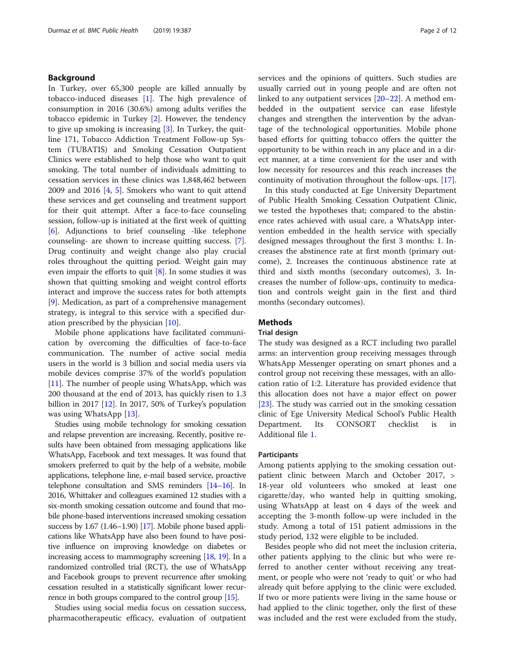## Background

In Turkey, over 65,300 people are killed annually by tobacco-induced diseases [[1\]](#page-10-0). The high prevalence of consumption in 2016 (30.6%) among adults verifies the tobacco epidemic in Turkey [\[2\]](#page-10-0). However, the tendency to give up smoking is increasing [[3](#page-10-0)]. In Turkey, the quitline 171, Tobacco Addiction Treatment Follow-up System (TUBATIS) and Smoking Cessation Outpatient Clinics were established to help those who want to quit smoking. The total number of individuals admitting to cessation services in these clinics was 1,848,462 between 2009 and 2016 [\[4](#page-10-0), [5\]](#page-10-0). Smokers who want to quit attend these services and get counseling and treatment support for their quit attempt. After a face-to-face counseling session, follow-up is initiated at the first week of quitting [[6\]](#page-10-0). Adjunctions to brief counseling -like telephone counseling- are shown to increase quitting success. [\[7](#page-10-0)]. Drug continuity and weight change also play crucial roles throughout the quitting period. Weight gain may even impair the efforts to quit  $[8]$  $[8]$ . In some studies it was shown that quitting smoking and weight control efforts interact and improve the success rates for both attempts [[9\]](#page-10-0). Medication, as part of a comprehensive management strategy, is integral to this service with a specified duration prescribed by the physician [\[10\]](#page-10-0).

Mobile phone applications have facilitated communication by overcoming the difficulties of face-to-face communication. The number of active social media users in the world is 3 billion and social media users via mobile devices comprise 37% of the world's population [[11\]](#page-10-0). The number of people using WhatsApp, which was 200 thousand at the end of 2013, has quickly risen to 1.3 billion in 2017 [[12\]](#page-10-0). In 2017, 50% of Turkey's population was using WhatsApp [[13](#page-11-0)].

Studies using mobile technology for smoking cessation and relapse prevention are increasing. Recently, positive results have been obtained from messaging applications like WhatsApp, Facebook and text messages. It was found that smokers preferred to quit by the help of a website, mobile applications, telephone line, e-mail based service, proactive telephone consultation and SMS reminders [\[14](#page-11-0)–[16\]](#page-11-0). In 2016, Whittaker and colleagues examined 12 studies with a six-month smoking cessation outcome and found that mobile phone-based interventions increased smoking cessation success by 1.67 (1.46–1.90) [\[17\]](#page-11-0). Mobile phone based applications like WhatsApp have also been found to have positive influence on improving knowledge on diabetes or increasing access to mammography screening [\[18](#page-11-0), [19\]](#page-11-0). In a randomized controlled trial (RCT), the use of WhatsApp and Facebook groups to prevent recurrence after smoking cessation resulted in a statistically significant lower recurrence in both groups compared to the control group [[15](#page-11-0)].

Studies using social media focus on cessation success, pharmacotherapeutic efficacy, evaluation of outpatient services and the opinions of quitters. Such studies are usually carried out in young people and are often not linked to any outpatient services [\[20](#page-11-0)–[22\]](#page-11-0). A method embedded in the outpatient service can ease lifestyle changes and strengthen the intervention by the advantage of the technological opportunities. Mobile phone based efforts for quitting tobacco offers the quitter the opportunity to be within reach in any place and in a direct manner, at a time convenient for the user and with low necessity for resources and this reach increases the continuity of motivation throughout the follow-ups. [\[17](#page-11-0)].

In this study conducted at Ege University Department of Public Health Smoking Cessation Outpatient Clinic, we tested the hypotheses that; compared to the abstinence rates achieved with usual care, a WhatsApp intervention embedded in the health service with specially designed messages throughout the first 3 months: 1. Increases the abstinence rate at first month (primary outcome), 2. Increases the continuous abstinence rate at third and sixth months (secondary outcomes), 3. Increases the number of follow-ups, continuity to medication and controls weight gain in the first and third months (secondary outcomes).

## **Methods**

#### Trial design

The study was designed as a RCT including two parallel arms: an intervention group receiving messages through WhatsApp Messenger operating on smart phones and a control group not receiving these messages, with an allocation ratio of 1:2. Literature has provided evidence that this allocation does not have a major effect on power [[23\]](#page-11-0). The study was carried out in the smoking cessation clinic of Ege University Medical School's Public Health Department. Its CONSORT checklist is in Additional file [1](#page-10-0).

## Participants

Among patients applying to the smoking cessation outpatient clinic between March and October 2017, > 18-year old volunteers who smoked at least one cigarette/day, who wanted help in quitting smoking, using WhatsApp at least on 4 days of the week and accepting the 3-month follow-up were included in the study. Among a total of 151 patient admissions in the study period, 132 were eligible to be included.

Besides people who did not meet the inclusion criteria, other patients applying to the clinic but who were referred to another center without receiving any treatment, or people who were not 'ready to quit' or who had already quit before applying to the clinic were excluded. If two or more patients were living in the same house or had applied to the clinic together, only the first of these was included and the rest were excluded from the study,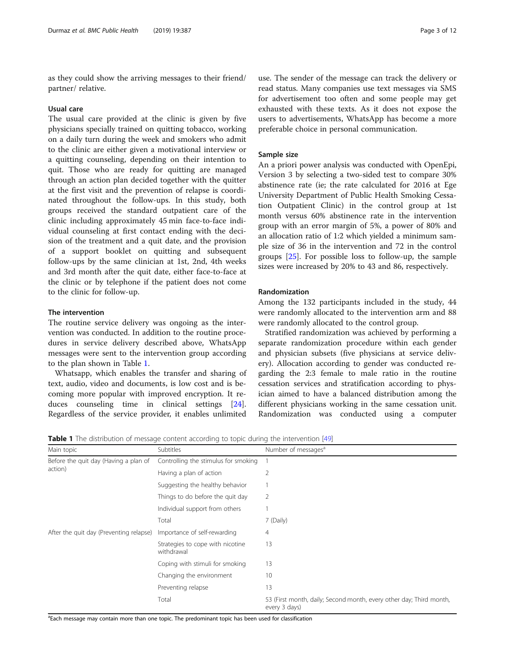<span id="page-2-0"></span>as they could show the arriving messages to their friend/ partner/ relative.

## Usual care

The usual care provided at the clinic is given by five physicians specially trained on quitting tobacco, working on a daily turn during the week and smokers who admit to the clinic are either given a motivational interview or a quitting counseling, depending on their intention to quit. Those who are ready for quitting are managed through an action plan decided together with the quitter at the first visit and the prevention of relapse is coordinated throughout the follow-ups. In this study, both groups received the standard outpatient care of the clinic including approximately 45 min face-to-face individual counseling at first contact ending with the decision of the treatment and a quit date, and the provision of a support booklet on quitting and subsequent follow-ups by the same clinician at 1st, 2nd, 4th weeks and 3rd month after the quit date, either face-to-face at the clinic or by telephone if the patient does not come to the clinic for follow-up.

## The intervention

The routine service delivery was ongoing as the intervention was conducted. In addition to the routine procedures in service delivery described above, WhatsApp messages were sent to the intervention group according to the plan shown in Table 1.

Whatsapp, which enables the transfer and sharing of text, audio, video and documents, is low cost and is becoming more popular with improved encryption. It reduces counseling time in clinical settings [\[24](#page-11-0)]. Regardless of the service provider, it enables unlimited

use. The sender of the message can track the delivery or read status. Many companies use text messages via SMS for advertisement too often and some people may get exhausted with these texts. As it does not expose the users to advertisements, WhatsApp has become a more preferable choice in personal communication.

## Sample size

An a priori power analysis was conducted with OpenEpi, Version 3 by selecting a two-sided test to compare 30% abstinence rate (ie; the rate calculated for 2016 at Ege University Department of Public Health Smoking Cessation Outpatient Clinic) in the control group at 1st month versus 60% abstinence rate in the intervention group with an error margin of 5%, a power of 80% and an allocation ratio of 1:2 which yielded a minimum sample size of 36 in the intervention and 72 in the control groups [\[25\]](#page-11-0). For possible loss to follow-up, the sample sizes were increased by 20% to 43 and 86, respectively.

## Randomization

Among the 132 participants included in the study, 44 were randomly allocated to the intervention arm and 88 were randomly allocated to the control group.

Stratified randomization was achieved by performing a separate randomization procedure within each gender and physician subsets (five physicians at service delivery). Allocation according to gender was conducted regarding the 2:3 female to male ratio in the routine cessation services and stratification according to physician aimed to have a balanced distribution among the different physicians working in the same cessation unit. Randomization was conducted using a computer

Table 1 The distribution of message content according to topic during the intervention [\[49\]](#page-11-0)

| Main topic                              | Subtitles                                      | Number of messages <sup>a</sup>                                                      |
|-----------------------------------------|------------------------------------------------|--------------------------------------------------------------------------------------|
| Before the quit day (Having a plan of   | Controlling the stimulus for smoking           |                                                                                      |
| action)                                 | Having a plan of action                        | 2                                                                                    |
|                                         | Suggesting the healthy behavior                |                                                                                      |
|                                         | Things to do before the quit day               | 2                                                                                    |
|                                         | Individual support from others                 |                                                                                      |
|                                         | Total                                          | 7 (Daily)                                                                            |
| After the quit day (Preventing relapse) | Importance of self-rewarding                   | 4                                                                                    |
|                                         | Strategies to cope with nicotine<br>withdrawal | 13                                                                                   |
|                                         | Coping with stimuli for smoking                | 13                                                                                   |
|                                         | Changing the environment                       | 10                                                                                   |
|                                         | Preventing relapse                             | 13                                                                                   |
|                                         | Total                                          | 53 (First month, daily; Second month, every other day; Third month,<br>every 3 days) |

<sup>a</sup>Each message may contain more than one topic. The predominant topic has been used for classification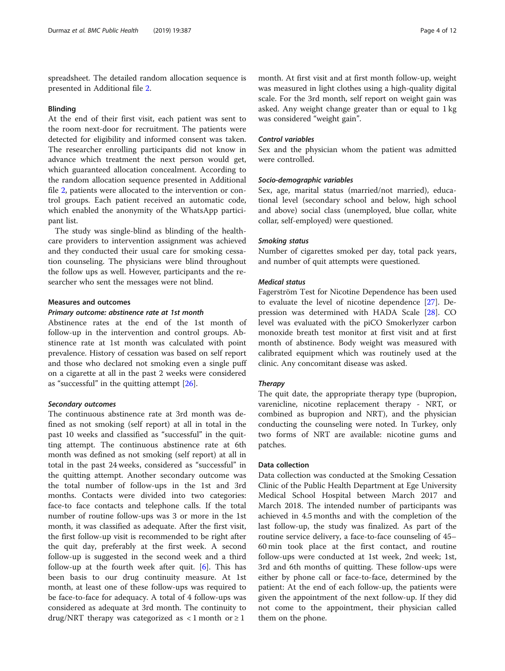spreadsheet. The detailed random allocation sequence is presented in Additional file [2.](#page-10-0)

#### Blinding

At the end of their first visit, each patient was sent to the room next-door for recruitment. The patients were detected for eligibility and informed consent was taken. The researcher enrolling participants did not know in advance which treatment the next person would get, which guaranteed allocation concealment. According to the random allocation sequence presented in Additional file [2](#page-10-0), patients were allocated to the intervention or control groups. Each patient received an automatic code, which enabled the anonymity of the WhatsApp participant list.

The study was single-blind as blinding of the healthcare providers to intervention assignment was achieved and they conducted their usual care for smoking cessation counseling. The physicians were blind throughout the follow ups as well. However, participants and the researcher who sent the messages were not blind.

## Measures and outcomes

#### Primary outcome: abstinence rate at 1st month

Abstinence rates at the end of the 1st month of follow-up in the intervention and control groups. Abstinence rate at 1st month was calculated with point prevalence. History of cessation was based on self report and those who declared not smoking even a single puff on a cigarette at all in the past 2 weeks were considered as "successful" in the quitting attempt [\[26](#page-11-0)].

## Secondary outcomes

The continuous abstinence rate at 3rd month was defined as not smoking (self report) at all in total in the past 10 weeks and classified as "successful" in the quitting attempt. The continuous abstinence rate at 6th month was defined as not smoking (self report) at all in total in the past 24 weeks, considered as "successful" in the quitting attempt. Another secondary outcome was the total number of follow-ups in the 1st and 3rd months. Contacts were divided into two categories: face-to face contacts and telephone calls. If the total number of routine follow-ups was 3 or more in the 1st month, it was classified as adequate. After the first visit, the first follow-up visit is recommended to be right after the quit day, preferably at the first week. A second follow-up is suggested in the second week and a third follow-up at the fourth week after quit.  $[6]$  $[6]$ . This has been basis to our drug continuity measure. At 1st month, at least one of these follow-ups was required to be face-to-face for adequacy. A total of 4 follow-ups was considered as adequate at 3rd month. The continuity to drug/NRT therapy was categorized as  $\lt 1$  month or  $\ge 1$ 

month. At first visit and at first month follow-up, weight was measured in light clothes using a high-quality digital scale. For the 3rd month, self report on weight gain was asked. Any weight change greater than or equal to 1 kg was considered "weight gain".

## Control variables

Sex and the physician whom the patient was admitted were controlled.

## Socio-demographic variables

Sex, age, marital status (married/not married), educational level (secondary school and below, high school and above) social class (unemployed, blue collar, white collar, self-employed) were questioned.

## Smoking status

Number of cigarettes smoked per day, total pack years, and number of quit attempts were questioned.

## Medical status

Fagerström Test for Nicotine Dependence has been used to evaluate the level of nicotine dependence [[27](#page-11-0)]. Depression was determined with HADA Scale [[28\]](#page-11-0). CO level was evaluated with the piCO Smokerlyzer carbon monoxide breath test monitor at first visit and at first month of abstinence. Body weight was measured with calibrated equipment which was routinely used at the clinic. Any concomitant disease was asked.

## **Therapy**

The quit date, the appropriate therapy type (bupropion, varenicline, nicotine replacement therapy - NRT, or combined as bupropion and NRT), and the physician conducting the counseling were noted. In Turkey, only two forms of NRT are available: nicotine gums and patches.

## Data collection

Data collection was conducted at the Smoking Cessation Clinic of the Public Health Department at Ege University Medical School Hospital between March 2017 and March 2018. The intended number of participants was achieved in 4.5 months and with the completion of the last follow-up, the study was finalized. As part of the routine service delivery, a face-to-face counseling of 45– 60 min took place at the first contact, and routine follow-ups were conducted at 1st week, 2nd week; 1st, 3rd and 6th months of quitting. These follow-ups were either by phone call or face-to-face, determined by the patient: At the end of each follow-up, the patients were given the appointment of the next follow-up. If they did not come to the appointment, their physician called them on the phone.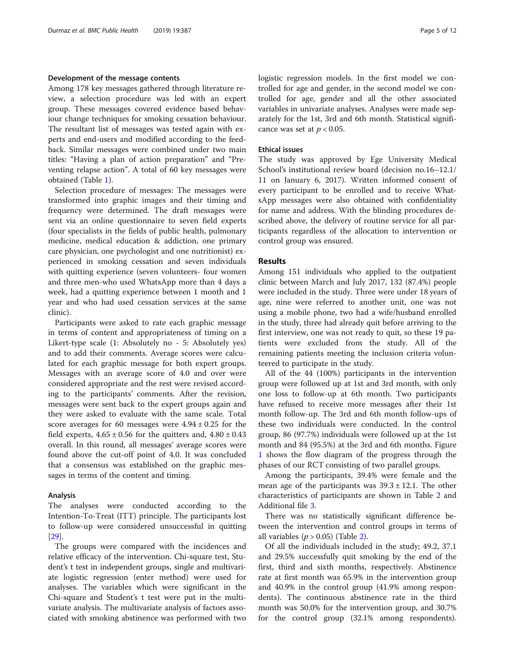## Development of the message contents

Among 178 key messages gathered through literature review, a selection procedure was led with an expert group. These messages covered evidence based behaviour change techniques for smoking cessation behaviour. The resultant list of messages was tested again with experts and end-users and modified according to the feedback. Similar messages were combined under two main titles: "Having a plan of action preparation" and "Preventing relapse action". A total of 60 key messages were obtained (Table [1](#page-2-0)).

Selection procedure of messages: The messages were transformed into graphic images and their timing and frequency were determined. The draft messages were sent via an online questionnaire to seven field experts (four specialists in the fields of public health, pulmonary medicine, medical education & addiction, one primary care physician, one psychologist and one nutritionist) experienced in smoking cessation and seven individuals with quitting experience (seven volunteers- four women and three men-who used WhatsApp more than 4 days a week, had a quitting experience between 1 month and 1 year and who had used cessation services at the same clinic).

Participants were asked to rate each graphic message in terms of content and appropriateness of timing on a Likert-type scale (1: Absolutely no - 5: Absolutely yes) and to add their comments. Average scores were calculated for each graphic message for both expert groups. Messages with an average score of 4.0 and over were considered appropriate and the rest were revised according to the participants' comments. After the revision, messages were sent back to the expert groups again and they were asked to evaluate with the same scale. Total score averages for 60 messages were  $4.94 \pm 0.25$  for the field experts,  $4.65 \pm 0.56$  for the quitters and,  $4.80 \pm 0.43$ overall. In this round, all messages' average scores were found above the cut-off point of 4.0. It was concluded that a consensus was established on the graphic messages in terms of the content and timing.

## Analysis

The analyses were conducted according to the Intention-To-Treat (ITT) principle. The participants lost to follow-up were considered unsuccessful in quitting [[29\]](#page-11-0).

The groups were compared with the incidences and relative efficacy of the intervention. Chi-square test, Student's t test in independent groups, single and multivariate logistic regression (enter method) were used for analyses. The variables which were significant in the Chi-square and Student's t test were put in the multivariate analysis. The multivariate analysis of factors associated with smoking abstinence was performed with two logistic regression models. In the first model we controlled for age and gender, in the second model we controlled for age, gender and all the other associated variables in univariate analyses. Analyses were made separately for the 1st, 3rd and 6th month. Statistical significance was set at  $p < 0.05$ .

## Ethical issues

The study was approved by Ege University Medical School's institutional review board (decision no.16–12.1/ 11 on January 6, 2017). Written informed consent of every participant to be enrolled and to receive WhatsApp messages were also obtained with confidentiality for name and address. With the blinding procedures described above, the delivery of routine service for all participants regardless of the allocation to intervention or control group was ensured.

## Results

Among 151 individuals who applied to the outpatient clinic between March and July 2017, 132 (87.4%) people were included in the study. Three were under 18 years of age, nine were referred to another unit, one was not using a mobile phone, two had a wife/husband enrolled in the study, three had already quit before arriving to the first interview, one was not ready to quit, so these 19 patients were excluded from the study. All of the remaining patients meeting the inclusion criteria volunteered to participate in the study.

All of the 44 (100%) participants in the intervention group were followed up at 1st and 3rd month, with only one loss to follow-up at 6th month. Two participants have refused to receive more messages after their 1st month follow-up. The 3rd and 6th month follow-ups of these two individuals were conducted. In the control group, 86 (97.7%) individuals were followed up at the 1st month and 84 (95.5%) at the 3rd and 6th months. Figure [1](#page-5-0) shows the flow diagram of the progress through the phases of our RCT consisting of two parallel groups.

Among the participants, 39.4% were female and the mean age of the participants was  $39.3 \pm 12.1$ . The other characteristics of participants are shown in Table [2](#page-6-0) and Additional file [3](#page-10-0).

There was no statistically significant difference between the intervention and control groups in terms of all variables  $(p > 0.05)$  (Table [2](#page-6-0)).

Of all the individuals included in the study; 49.2, 37.1 and 29.5% successfully quit smoking by the end of the first, third and sixth months, respectively. Abstinence rate at first month was 65.9% in the intervention group and 40.9% in the control group (41.9% among respondents). The continuous abstinence rate in the third month was 50.0% for the intervention group, and 30.7% for the control group (32.1% among respondents).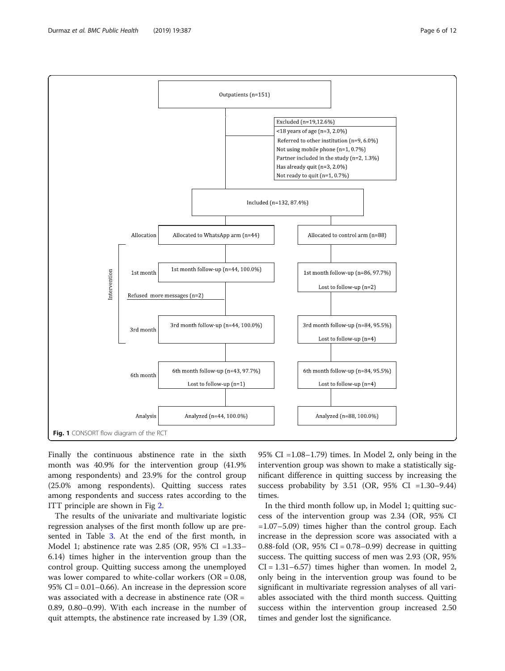Finally the continuous abstinence rate in the sixth month was 40.9% for the intervention group (41.9% among respondents) and 23.9% for the control group (25.0% among respondents). Quitting success rates among respondents and success rates according to the ITT principle are shown in Fig [2.](#page-7-0)

The results of the univariate and multivariate logistic regression analyses of the first month follow up are presented in Table [3.](#page-8-0) At the end of the first month, in Model 1; abstinence rate was 2.85 (OR, 95% CI =1.33– 6.14) times higher in the intervention group than the control group. Quitting success among the unemployed was lower compared to white-collar workers  $(OR = 0.08,$ 95%  $Cl = 0.01 - 0.66$ . An increase in the depression score was associated with a decrease in abstinence rate (OR = 0.89, 0.80–0.99). With each increase in the number of quit attempts, the abstinence rate increased by 1.39 (OR, 95% CI =1.08–1.79) times. In Model 2, only being in the intervention group was shown to make a statistically significant difference in quitting success by increasing the success probability by 3.51 (OR, 95% CI =1.30–9.44) times.

In the third month follow up, in Model 1; quitting success of the intervention group was 2.34 (OR, 95% CI =1.07–5.09) times higher than the control group. Each increase in the depression score was associated with a 0.88-fold (OR,  $95\%$  CI = 0.78–0.99) decrease in quitting success. The quitting success of men was 2.93 (OR, 95%  $CI = 1.31 - 6.57$ ) times higher than women. In model 2, only being in the intervention group was found to be significant in multivariate regression analyses of all variables associated with the third month success. Quitting success within the intervention group increased 2.50 times and gender lost the significance.

<span id="page-5-0"></span>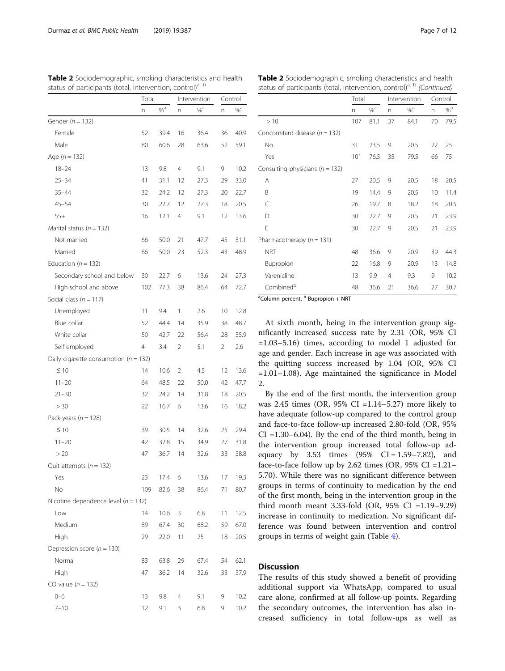|                                           | Total |                   | Intervention |                   | Control |                   |
|-------------------------------------------|-------|-------------------|--------------|-------------------|---------|-------------------|
|                                           | n     | $\%$ <sup>a</sup> | n            | $\%$ <sup>a</sup> | n       | $\%$ <sup>a</sup> |
| Gender ( $n = 132$ )                      |       |                   |              |                   |         |                   |
| Female                                    | 52    | 39.4              | 16           | 36.4              | 36      | 40.9              |
| Male                                      | 80    | 60.6              | 28           | 63.6              | 52      | 59.1              |
| Age $(n = 132)$                           |       |                   |              |                   |         |                   |
| $18 - 24$                                 | 13    | 9.8               | 4            | 9.1               | 9       | 10.2              |
| $25 - 34$                                 | 41    | 31.1              | 12           | 27.3              | 29      | 33.0              |
| $35 - 44$                                 | 32    | 24.2              | 12           | 27.3              | 20      | 22.7              |
| $45 - 54$                                 | 30    | 22.7              | 12           | 27.3              | 18      | 20.5              |
| $55+$                                     | 16    | 12.1              | 4            | 9.1               | 12      | 13.6              |
| Marital status ( $n = 132$ )              |       |                   |              |                   |         |                   |
| Not-married                               | 66    | 50.0              | 21           | 47.7              | 45      | 51.1              |
| Married                                   | 66    | 50.0              | 23           | 52.3              | 43      | 48.9              |
| Education ( $n = 132$ )                   |       |                   |              |                   |         |                   |
| Secondary school and below                | 30    | 22.7              | 6            | 13.6              | 24      | 27.3              |
| High school and above                     | 102   | 77.3              | 38           | 86.4              | 64      | 72.7              |
| Social class ( $n = 117$ )                |       |                   |              |                   |         |                   |
| Unemployed                                | 11    | 9.4               | 1            | 2.6               | 10      | 12.8              |
| Blue collar                               | 52    | 44.4              | 14           | 35.9              | 38      | 48.7              |
| White collar                              | 50    | 42.7              | 22           | 56.4              | 28      | 35.9              |
| Self employed                             | 4     | 3.4               | 2            | 5.1               | 2       | 2.6               |
| Daily cigarette consumption ( $n = 132$ ) |       |                   |              |                   |         |                   |
| $\leq 10$                                 | 14    | 10.6              | 2            | 4.5               | 12      | 13.6              |
| $11 - 20$                                 | 64    | 48.5              | 22           | 50.0              | 42      | 47.7              |
| $21 - 30$                                 | 32    | 24.2              | 14           | 31.8              | 18      | 20.5              |
| > 30                                      | 22    | 16.7              | 6            | 13.6              | 16      | 18.2              |
| Pack-years ( $n = 128$ )                  |       |                   |              |                   |         |                   |
| $\leq 10$                                 | 39    | 30.5              | 14           | 32.6              | 25      | 29.4              |
| $11 - 20$                                 | 42    | 32.8              | 15           | 34.9              | 27      | 31.8              |
| >20                                       | 47    | 36.7              | 14           | 32.6              | 33      | 38.8              |
| Quit attempts ( $n = 132$ )               |       |                   |              |                   |         |                   |
| Yes                                       | 23    | 17.4              | 6            | 13.6              | 17      | 19.3              |
| No                                        | 109   | 82.6              | 38           | 86.4              | 71      | 80.7              |
| Nicotine dependence level ( $n = 132$ )   |       |                   |              |                   |         |                   |
| Low                                       | 14    | 10.6              | 3            | 6.8               | 11      | 12.5              |
| Medium                                    | 89    | 67.4              | 30           | 68.2              | 59      | 67.0              |
| High                                      | 29    | 22.0              | 11           | 25                | 18      | 20.5              |
| Depression score ( $n = 130$ )            |       |                   |              |                   |         |                   |
| Normal                                    | 83    | 63.8              | 29           | 67.4              | 54      | 62.1              |
| High                                      | 47    | 36.2              | 14           | 32.6              | 33      | 37.9              |
| CO value $(n = 132)$                      |       |                   |              |                   |         |                   |
| $0 - 6$                                   | 13    | 9.8               | 4            | 9.1               | 9       | 10.2              |
| $7 - 10$                                  | 12    | 9.1               | 3            | 6.8               | 9       | 10.2              |

<span id="page-6-0"></span>Table 2 Sociodemographic, smoking characteristics and health status of participants (total, intervention, control)<sup>a, b</sup>

|                                     | Total |       | Intervention |                  | Control |                  |
|-------------------------------------|-------|-------|--------------|------------------|---------|------------------|
|                                     | n     | $%^a$ | n            | $%$ <sup>a</sup> | n.      | $%$ <sup>a</sup> |
| >10                                 | 107   | 81.1  | 37           | 84.1             | 70      | 79.5             |
| Concomitant disease ( $n = 132$ )   |       |       |              |                  |         |                  |
| No                                  | 31    | 23.5  | 9            | 20.5             | 22      | 25               |
| Yes                                 | 101   | 76.5  | 35           | 79.5             | 66      | 75               |
| Consulting physicians ( $n = 132$ ) |       |       |              |                  |         |                  |
| A                                   | 27    | 20.5  | 9            | 20.5             | 18      | 20.5             |
| B                                   | 19    | 14.4  | 9            | 20.5             | 10      | 11.4             |
| C                                   | 26    | 19.7  | 8            | 18.2             | 18      | 20.5             |
| D                                   | 30    | 22.7  | 9            | 20.5             | 21      | 23.9             |
| F                                   | 30    | 22.7  | 9            | 20.5             | 21      | 23.9             |
| Pharmacotherapy ( $n = 131$ )       |       |       |              |                  |         |                  |
| <b>NRT</b>                          | 48    | 36.6  | 9            | 20.9             | 39      | 44.3             |
| Bupropion                           | 22    | 16.8  | 9            | 20.9             | 13      | 14.8             |
| Varenicline                         | 13    | 9.9   | 4            | 9.3              | 9       | 10.2             |
| Combined <sup>b</sup>               | 48    | 36.6  | 21           | 36.6             | 27      | 30.7             |

Table 2 Sociodemographic, smoking characteristics and health status of participants (total, intervention, control)<sup>a, b</sup> (Continued)

<sup>a</sup>Column percent, <sup>b</sup> Bupropion + NRT

At sixth month, being in the intervention group significantly increased success rate by 2.31 (OR, 95% CI =1.03–5.16) times, according to model 1 adjusted for age and gender. Each increase in age was associated with the quitting success increased by 1.04 (OR, 95% CI  $=1.01-1.08$ ). Age maintained the significance in Model  $\mathcal{D}$ 

By the end of the first month, the intervention group was 2.45 times (OR, 95% CI =1.14–5.27) more likely to have adequate follow-up compared to the control group and face-to-face follow-up increased 2.80-fold (OR, 95% CI =1.30–6.04). By the end of the third month, being in the intervention group increased total follow-up adequacy by 3.53 times  $(95\% \text{ CI} = 1.59 - 7.82)$ , and face-to-face follow up by 2.62 times (OR,  $95\%$  CI =1.21– 5.70). While there was no significant difference between groups in terms of continuity to medication by the end of the first month, being in the intervention group in the third month meant 3.33-fold (OR, 95% CI =1.19–9.29) increase in continuity to medication. No significant difference was found between intervention and control groups in terms of weight gain (Table [4\)](#page-9-0).

## **Discussion**

The results of this study showed a benefit of providing additional support via WhatsApp, compared to usual care alone, confirmed at all follow-up points. Regarding the secondary outcomes, the intervention has also increased sufficiency in total follow-ups as well as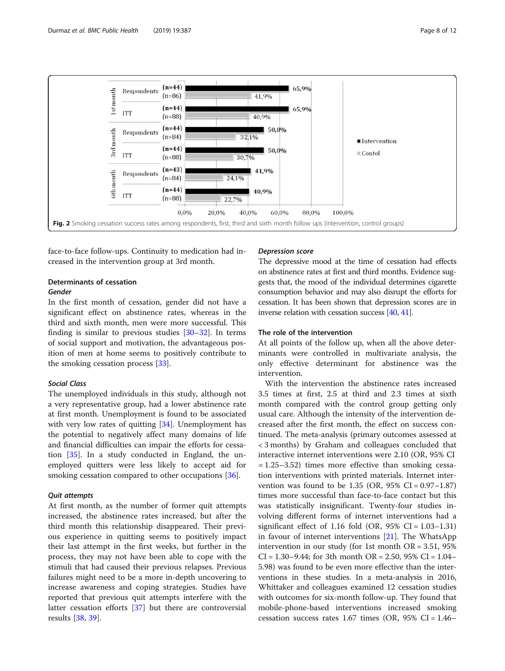<span id="page-7-0"></span>

face-to-face follow-ups. Continuity to medication had increased in the intervention group at 3rd month.

## Determinants of cessation

## Gender

In the first month of cessation, gender did not have a significant effect on abstinence rates, whereas in the third and sixth month, men were more successful. This finding is similar to previous studies [\[30](#page-11-0)–[32\]](#page-11-0). In terms of social support and motivation, the advantageous position of men at home seems to positively contribute to the smoking cessation process [[33](#page-11-0)].

## Social Class

The unemployed individuals in this study, although not a very representative group, had a lower abstinence rate at first month. Unemployment is found to be associated with very low rates of quitting [[34\]](#page-11-0). Unemployment has the potential to negatively affect many domains of life and financial difficulties can impair the efforts for cessation [[35\]](#page-11-0). In a study conducted in England, the unemployed quitters were less likely to accept aid for smoking cessation compared to other occupations [[36](#page-11-0)].

## Quit attempts

At first month, as the number of former quit attempts increased, the abstinence rates increased, but after the third month this relationship disappeared. Their previous experience in quitting seems to positively impact their last attempt in the first weeks, but further in the process, they may not have been able to cope with the stimuli that had caused their previous relapses. Previous failures might need to be a more in-depth uncovering to increase awareness and coping strategies. Studies have reported that previous quit attempts interfere with the latter cessation efforts [[37](#page-11-0)] but there are controversial results [[38](#page-11-0), [39](#page-11-0)].

## Depression score

The depressive mood at the time of cessation had effects on abstinence rates at first and third months. Evidence suggests that, the mood of the individual determines cigarette consumption behavior and may also disrupt the efforts for cessation. It has been shown that depression scores are in inverse relation with cessation success [\[40,](#page-11-0) [41\]](#page-11-0).

## The role of the intervention

At all points of the follow up, when all the above determinants were controlled in multivariate analysis, the only effective determinant for abstinence was the intervention.

With the intervention the abstinence rates increased 3.5 times at first, 2.5 at third and 2.3 times at sixth month compared with the control group getting only usual care. Although the intensity of the intervention decreased after the first month, the effect on success continued. The meta-analysis (primary outcomes assessed at < 3 months) by Graham and colleagues concluded that interactive internet interventions were 2.10 (OR, 95% CI  $= 1.25 - 3.52$ ) times more effective than smoking cessation interventions with printed materials. Internet intervention was found to be 1.35 (OR,  $95\%$  CI = 0.97–1.87) times more successful than face-to-face contact but this was statistically insignificant. Twenty-four studies involving different forms of internet interventions had a significant effect of 1.16 fold (OR, 95% CI = 1.03–1.31) in favour of internet interventions [\[21](#page-11-0)]. The WhatsApp intervention in our study (for 1st month OR = 3.51, 95%  $CI = 1.30 - 9.44$ ; for 3th month  $OR = 2.50$ , 95%  $CI = 1.04 -$ 5.98) was found to be even more effective than the interventions in these studies. In a meta-analysis in 2016, Whittaker and colleagues examined 12 cessation studies with outcomes for six-month follow-up. They found that mobile-phone-based interventions increased smoking cessation success rates  $1.67$  times (OR,  $95\%$  CI =  $1.46-$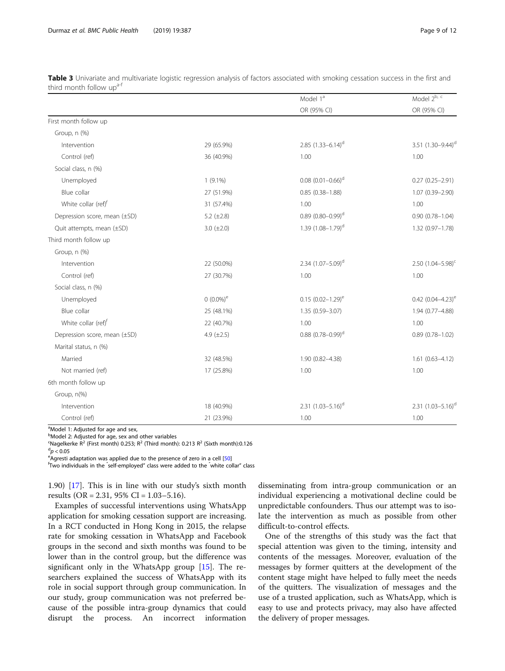|                                 |                 | Model 1 <sup>a</sup>              | Model 2b, c                       |
|---------------------------------|-----------------|-----------------------------------|-----------------------------------|
|                                 |                 | OR (95% CI)                       | OR (95% CI)                       |
| First month follow up           |                 |                                   |                                   |
| Group, n (%)                    |                 |                                   |                                   |
| Intervention                    | 29 (65.9%)      | 2.85 $(1.33 - 6.14)^d$            | 3.51 $(1.30 - 9.44)^d$            |
| Control (ref)                   | 36 (40.9%)      | 1.00                              | 1.00                              |
| Social class, n (%)             |                 |                                   |                                   |
| Unemployed                      | $1(9.1\%)$      | $0.08$ $(0.01 - 0.66)^d$          | $0.27(0.25 - 2.91)$               |
| Blue collar                     | 27 (51.9%)      | $0.85(0.38 - 1.88)$               | 1.07 (0.39-2.90)                  |
| White collar (ref) <sup>f</sup> | 31 (57.4%)      | 1.00                              | 1.00                              |
| Depression score, mean (±SD)    | 5.2 $(\pm 2.8)$ | $0.89(0.80 - 0.99)^d$             | $0.90(0.78 - 1.04)$               |
| Quit attempts, mean (±SD)       | $3.0 (\pm 2.0)$ | 1.39 $(1.08 - 1.79)$ <sup>d</sup> | 1.32 (0.97-1.78)                  |
| Third month follow up           |                 |                                   |                                   |
| Group, n (%)                    |                 |                                   |                                   |
| Intervention                    | 22 (50.0%)      | 2.34 $(1.07 - 5.09)^d$            | 2.50 $(1.04 - 5.98)^c$            |
| Control (ref)                   | 27 (30.7%)      | 1.00                              | 1.00                              |
| Social class, n (%)             |                 |                                   |                                   |
| Unemployed                      | $0(0.0\%)^e$    | $0.15(0.02 - 1.29)^e$             | $0.42$ $(0.04-4.23)$ <sup>e</sup> |
| Blue collar                     | 25 (48.1%)      | 1.35 (0.59-3.07)                  | 1.94 (0.77-4.88)                  |
| White collar (ref) <sup>f</sup> | 22 (40.7%)      | 1.00                              | 1.00                              |
| Depression score, mean (±SD)    | 4.9 $(\pm 2.5)$ | $0.88$ $(0.78 - 0.99)^d$          | $0.89(0.78 - 1.02)$               |
| Marital status, n (%)           |                 |                                   |                                   |
| Married                         | 32 (48.5%)      | 1.90 (0.82-4.38)                  | $1.61(0.63 - 4.12)$               |
| Not married (ref)               | 17 (25.8%)      | 1.00                              | 1.00                              |
| 6th month follow up             |                 |                                   |                                   |
| Group, n(%)                     |                 |                                   |                                   |
| Intervention                    | 18 (40.9%)      | 2.31 $(1.03 - 5.16)^d$            | 2.31 $(1.03 - 5.16)^d$            |
| Control (ref)                   | 21 (23.9%)      | 1.00                              | 1.00                              |

<span id="page-8-0"></span>Table 3 Univariate and multivariate logistic regression analysis of factors associated with smoking cessation success in the first and third month follow up<sup>a-f</sup>

<sup>a</sup>Model 1: Adjusted for age and sex,

<sup>b</sup>Model 2: Adjusted for age, sex and other variables

<sup>c</sup>Nagelkerke R<sup>2</sup> (First month) 0.253; R<sup>2</sup> (Third month): 0.213 R<sup>2</sup> (Sixth month):0.126<br><sup>d</sup>n < 0.05

 $\mathrm{^{d}p}$   $<$  0.05

<sup>e</sup> Agresti adaptation was applied due to the presence of zero in a cell [[50\]](#page-11-0)

Two individuals in the " self-employed" class were added to the " white collar" class

1.90) [\[17\]](#page-11-0). This is in line with our study's sixth month results (OR = 2.31, 95% CI = 1.03–5.16).

Examples of successful interventions using WhatsApp application for smoking cessation support are increasing. In a RCT conducted in Hong Kong in 2015, the relapse rate for smoking cessation in WhatsApp and Facebook groups in the second and sixth months was found to be lower than in the control group, but the difference was significant only in the WhatsApp group [[15\]](#page-11-0). The researchers explained the success of WhatsApp with its role in social support through group communication. In our study, group communication was not preferred because of the possible intra-group dynamics that could disrupt the process. An incorrect information

disseminating from intra-group communication or an individual experiencing a motivational decline could be unpredictable confounders. Thus our attempt was to isolate the intervention as much as possible from other difficult-to-control effects.

One of the strengths of this study was the fact that special attention was given to the timing, intensity and contents of the messages. Moreover, evaluation of the messages by former quitters at the development of the content stage might have helped to fully meet the needs of the quitters. The visualization of messages and the use of a trusted application, such as WhatsApp, which is easy to use and protects privacy, may also have affected the delivery of proper messages.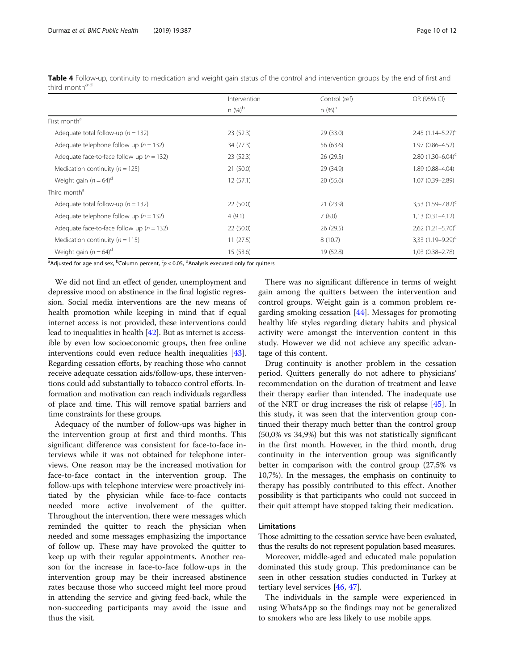|                                               | Intervention | Control (ref) | OR (95% CI)                       |  |
|-----------------------------------------------|--------------|---------------|-----------------------------------|--|
|                                               | $n (%)^b$    | $n (%)^b$     |                                   |  |
| First month <sup>a</sup>                      |              |               |                                   |  |
| Adequate total follow-up ( $n = 132$ )        | 23(52.3)     | 29 (33.0)     | $2.45$ (1.14–5.27) <sup>c</sup>   |  |
| Adequate telephone follow up ( $n = 132$ )    | 34 (77.3)    | 56 (63.6)     | $1.97(0.86 - 4.52)$               |  |
| Adequate face-to-face follow up ( $n = 132$ ) | 23(52.3)     | 26 (29.5)     | 2.80 $(1.30 - 6.04)^c$            |  |
| Medication continuity ( $n = 125$ )           | 21(50.0)     | 29 (34.9)     | 1.89 (0.88-4.04)                  |  |
| Weight gain $(n = 64)^d$                      | 12(57.1)     | 20 (55.6)     | $1.07(0.39 - 2.89)$               |  |
| Third month <sup>a</sup>                      |              |               |                                   |  |
| Adequate total follow-up ( $n = 132$ )        | 22(50.0)     | 21 (23.9)     | 3,53 $(1.59 - 7.82)^{c}$          |  |
| Adequate telephone follow up ( $n = 132$ )    | 4(9.1)       | 7(8.0)        | $1,13(0.31-4.12)$                 |  |
| Adequate face-to-face follow up ( $n = 132$ ) | 22(50.0)     | 26 (29.5)     | $2,62$ (1.21-5.70) <sup>c</sup>   |  |
| Medication continuity ( $n = 115$ )           | 11(27.5)     | 8(10.7)       | 3,33 $(1.19 - 9.29)$ <sup>c</sup> |  |
| Weight gain $(n = 64)^d$                      | 15(53.6)     | 19 (52.8)     | 1,03 (0.38-2.78)                  |  |

<span id="page-9-0"></span>Table 4 Follow-up, continuity to medication and weight gain status of the control and intervention groups by the end of first and third month $a-c$ 

<sup>a</sup>Adjusted for age and sex, <sup>b</sup>Column percent, <sup>c</sup>p < 0.05, <sup>d</sup>Analysis executed only for quitters

We did not find an effect of gender, unemployment and depressive mood on abstinence in the final logistic regression. Social media interventions are the new means of health promotion while keeping in mind that if equal internet access is not provided, these interventions could lead to inequalities in health [[42](#page-11-0)]. But as internet is accessible by even low socioeconomic groups, then free online interventions could even reduce health inequalities [[43](#page-11-0)]. Regarding cessation efforts, by reaching those who cannot receive adequate cessation aids/follow-ups, these interventions could add substantially to tobacco control efforts. Information and motivation can reach individuals regardless of place and time. This will remove spatial barriers and time constraints for these groups.

Adequacy of the number of follow-ups was higher in the intervention group at first and third months. This significant difference was consistent for face-to-face interviews while it was not obtained for telephone interviews. One reason may be the increased motivation for face-to-face contact in the intervention group. The follow-ups with telephone interview were proactively initiated by the physician while face-to-face contacts needed more active involvement of the quitter. Throughout the intervention, there were messages which reminded the quitter to reach the physician when needed and some messages emphasizing the importance of follow up. These may have provoked the quitter to keep up with their regular appointments. Another reason for the increase in face-to-face follow-ups in the intervention group may be their increased abstinence rates because those who succeed might feel more proud in attending the service and giving feed-back, while the non-succeeding participants may avoid the issue and thus the visit.

There was no significant difference in terms of weight gain among the quitters between the intervention and control groups. Weight gain is a common problem regarding smoking cessation  $[44]$  $[44]$ . Messages for promoting healthy life styles regarding dietary habits and physical activity were amongst the intervention content in this study. However we did not achieve any specific advantage of this content.

Drug continuity is another problem in the cessation period. Quitters generally do not adhere to physicians' recommendation on the duration of treatment and leave their therapy earlier than intended. The inadequate use of the NRT or drug increases the risk of relapse [\[45](#page-11-0)]. In this study, it was seen that the intervention group continued their therapy much better than the control group (50,0% vs 34,9%) but this was not statistically significant in the first month. However, in the third month, drug continuity in the intervention group was significantly better in comparison with the control group (27,5% vs 10,7%). In the messages, the emphasis on continuity to therapy has possibly contributed to this effect. Another possibility is that participants who could not succeed in their quit attempt have stopped taking their medication.

## Limitations

Those admitting to the cessation service have been evaluated, thus the results do not represent population based measures.

Moreover, middle-aged and educated male population dominated this study group. This predominance can be seen in other cessation studies conducted in Turkey at tertiary level services [\[46](#page-11-0), [47](#page-11-0)].

The individuals in the sample were experienced in using WhatsApp so the findings may not be generalized to smokers who are less likely to use mobile apps.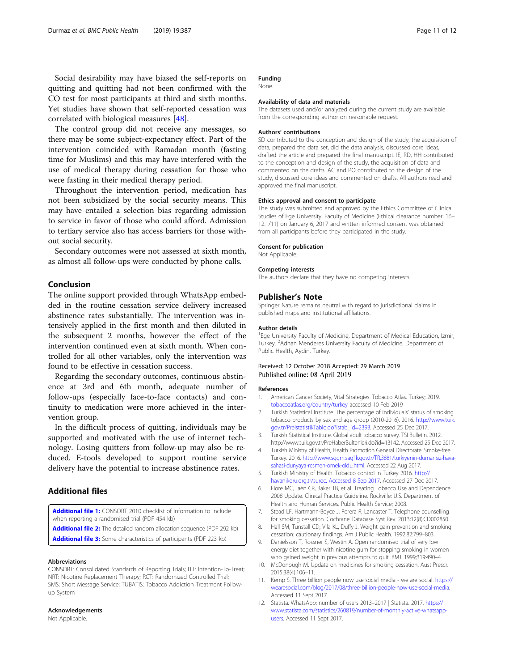<span id="page-10-0"></span>Social desirability may have biased the self-reports on quitting and quitting had not been confirmed with the CO test for most participants at third and sixth months. Yet studies have shown that self-reported cessation was correlated with biological measures [[48](#page-11-0)].

The control group did not receive any messages, so there may be some subject-expectancy effect. Part of the intervention coincided with Ramadan month (fasting time for Muslims) and this may have interfered with the use of medical therapy during cessation for those who were fasting in their medical therapy period.

Throughout the intervention period, medication has not been subsidized by the social security means. This may have entailed a selection bias regarding admission to service in favor of those who could afford. Admission to tertiary service also has access barriers for those without social security.

Secondary outcomes were not assessed at sixth month, as almost all follow-ups were conducted by phone calls.

## Conclusion

The online support provided through WhatsApp embedded in the routine cessation service delivery increased abstinence rates substantially. The intervention was intensively applied in the first month and then diluted in the subsequent 2 months, however the effect of the intervention continued even at sixth month. When controlled for all other variables, only the intervention was found to be effective in cessation success.

Regarding the secondary outcomes, continuous abstinence at 3rd and 6th month, adequate number of follow-ups (especially face-to-face contacts) and continuity to medication were more achieved in the intervention group.

In the difficult process of quitting, individuals may be supported and motivated with the use of internet technology. Losing quitters from follow-up may also be reduced. E-tools developed to support routine service delivery have the potential to increase abstinence rates.

## Additional files

[Additional file 1:](https://doi.org/10.1186/s12889-019-6727-z) CONSORT 2010 checklist of information to include when reporting a randomised trial (PDF 454 kb)

[Additional file 2:](https://doi.org/10.1186/s12889-019-6727-z) The detailed random allocation sequence (PDF 292 kb) [Additional file 3:](https://doi.org/10.1186/s12889-019-6727-z) Some characteristics of participants (PDF 223 kb)

#### Abbreviations

CONSORT: Consolidated Standards of Reporting Trials; ITT: Intention-To-Treat; NRT: Nicotine Replacement Therapy; RCT: Randomized Controlled Trial; SMS: Short Message Service; TUBATIS: Tobacco Addiction Treatment Followup System

## Acknowledgements

Not Applicable.

## Funding

None.

## Availability of data and materials

The datasets used and/or analyzed during the current study are available from the corresponding author on reasonable request.

#### Authors' contributions

SD contributed to the conception and design of the study, the acquisition of data, prepared the data set, did the data analysis, discussed core ideas, drafted the article and prepared the final manuscript. IE, RD, HH contributed to the conception and design of the study, the acquisition of data and commented on the drafts. AC and PO contributed to the design of the study, discussed core ideas and commented on drafts. All authors read and approved the final manuscript.

#### Ethics approval and consent to participate

The study was submitted and approved by the Ethics Committee of Clinical Studies of Ege University, Faculty of Medicine (Ethical clearance number: 16– 12.1/11) on January 6, 2017 and written informed consent was obtained from all participants before they participated in the study.

#### Consent for publication

Not Applicable.

#### Competing interests

The authors declare that they have no competing interests.

#### Publisher's Note

Springer Nature remains neutral with regard to jurisdictional claims in published maps and institutional affiliations.

#### Author details

<sup>1</sup> Ege University Faculty of Medicine, Department of Medical Education, Izmir Turkey. <sup>2</sup>Adnan Menderes University Faculty of Medicine, Department of Public Health, Aydin, Turkey.

## Received: 12 October 2018 Accepted: 29 March 2019 Published online: 08 April 2019

#### References

- 1. American Cancer Society, Vital Strategies. Tobacco Atlas. Turkey; 2019. [tobaccoatlas.org/country/turkey](http://tobaccoatlas.org/country/turkey) accessed 10 Feb 2019
- 2. Turkish Statistical Institute. The percentage of individuals' status of smoking tobacco products by sex and age group (2010-2016). 2016. [http://www.tuik.](http://www.tuik.gov.tr/PreIstatistikTablo.do?istab_id=2393) [gov.tr/PreIstatistikTablo.do?istab\\_id=2393.](http://www.tuik.gov.tr/PreIstatistikTablo.do?istab_id=2393) Accessed 25 Dec 2017.
- 3. Turkish Statistical Institute. Global adult tobacco survey. TSI Bulletin. 2012. http://www.tuik.gov.tr/PreHaberBultenleri.do?id=13142. Accessed 25 Dec 2017.
- 4. Turkish Ministry of Health, Health Promotion General Directorate. Smoke-free Turkey. 2016. [http://www.sggm.saglik.gov.tr/TR,3881/turkiyenin-dumansiz-hava](http://www.sggm.saglik.gov.tr/TR,3881/turkiyenin-dumansiz-hava-sahasi-dunyaya-resmen-ornek-oldu.html)[sahasi-dunyaya-resmen-ornek-oldu.html.](http://www.sggm.saglik.gov.tr/TR,3881/turkiyenin-dumansiz-hava-sahasi-dunyaya-resmen-ornek-oldu.html) Accessed 22 Aug 2017.
- 5. Turkish Ministry of Health. Tobacco control in Turkey 2016. [http://](http://havanikoru.org.tr/surec.%20Accessed%208%20Sep%202017) [havanikoru.org.tr/surec. Accessed 8 Sep 2017](http://havanikoru.org.tr/surec.%20Accessed%208%20Sep%202017). Accessed 27 Dec 2017.
- 6. Fiore MC, Jaén CR, Baker TB, et al. Treating Tobacco Use and Dependence: 2008 Update. Clinical Practice Guideline. Rockville: U.S. Department of Health and Human Services. Public Health Service; 2008.
- 7. Stead LF, Hartmann-Boyce J, Perera R, Lancaster T. Telephone counselling for smoking cessation. Cochrane Database Syst Rev. 2013;12(8):CD002850.
- 8. Hall SM, Tunstall CD, Vila KL, Duffy J. Weight gain prevention and smoking cessation: cautionary findings. Am J Public Health. 1992;82:799–803.
- 9. Danielsson T, Rossner S, Westin A. Open randomised trial of very low energy diet together with nicotine gum for stopping smoking in women who gained weight in previous attempts to quit. BMJ. 1999;319:490–4.
- 10. McDonough M. Update on medicines for smoking cessation. Aust Prescr. 2015;38(4):106–11.
- 11. Kemp S. Three billion people now use social media we are social. [https://](https://wearesocial.com/blog/2017/08/three-billion-people-now-use-social-media) [wearesocial.com/blog/2017/08/three-billion-people-now-use-social-media.](https://wearesocial.com/blog/2017/08/three-billion-people-now-use-social-media) Accessed 11 Sept 2017.
- 12. Statista. WhatsApp: number of users 2013–2017 | Statista. 2017. [https://](https://www.statista.com/statistics/260819/number-of-monthly-active-whatsapp-users) [www.statista.com/statistics/260819/number-of-monthly-active-whatsapp](https://www.statista.com/statistics/260819/number-of-monthly-active-whatsapp-users)[users](https://www.statista.com/statistics/260819/number-of-monthly-active-whatsapp-users). Accessed 11 Sept 2017.